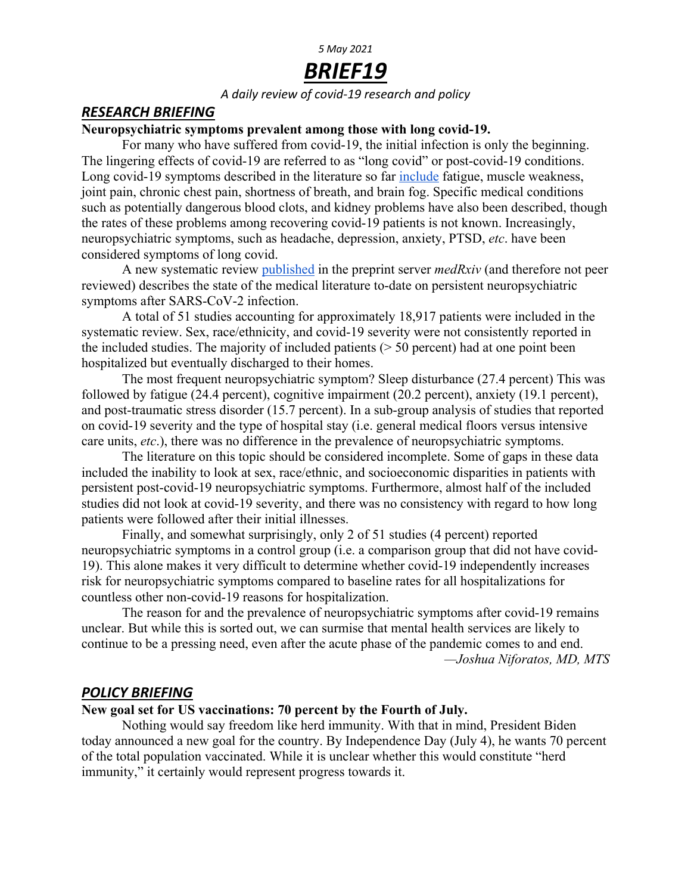# *5 May 2021*

# *BRIEF19*

*A daily review of covid-19 research and policy*

### *RESEARCH BRIEFING*

#### **Neuropsychiatric symptoms prevalent among those with long covid-19.**

For many who have suffered from covid-19, the initial infection is only the beginning. The lingering effects of covid-19 are referred to as "long covid" or post-covid-19 conditions. Long covid-19 symptoms described in the literature so far include fatigue, muscle weakness, joint pain, chronic chest pain, shortness of breath, and brain fog. Specific medical conditions such as potentially dangerous blood clots, and kidney problems have also been described, though the rates of these problems among recovering covid-19 patients is not known. Increasingly, neuropsychiatric symptoms, such as headache, depression, anxiety, PTSD, *etc*. have been considered symptoms of long covid.

A new systematic review published in the preprint server *medRxiv* (and therefore not peer reviewed) describes the state of the medical literature to-date on persistent neuropsychiatric symptoms after SARS-CoV-2 infection.

A total of 51 studies accounting for approximately 18,917 patients were included in the systematic review. Sex, race/ethnicity, and covid-19 severity were not consistently reported in the included studies. The majority of included patients  $($  > 50 percent) had at one point been hospitalized but eventually discharged to their homes.

The most frequent neuropsychiatric symptom? Sleep disturbance (27.4 percent) This was followed by fatigue (24.4 percent), cognitive impairment (20.2 percent), anxiety (19.1 percent), and post-traumatic stress disorder (15.7 percent). In a sub-group analysis of studies that reported on covid-19 severity and the type of hospital stay (i.e. general medical floors versus intensive care units, *etc*.), there was no difference in the prevalence of neuropsychiatric symptoms.

The literature on this topic should be considered incomplete. Some of gaps in these data included the inability to look at sex, race/ethnic, and socioeconomic disparities in patients with persistent post-covid-19 neuropsychiatric symptoms. Furthermore, almost half of the included studies did not look at covid-19 severity, and there was no consistency with regard to how long patients were followed after their initial illnesses.

Finally, and somewhat surprisingly, only 2 of 51 studies (4 percent) reported neuropsychiatric symptoms in a control group (i.e. a comparison group that did not have covid-19). This alone makes it very difficult to determine whether covid-19 independently increases risk for neuropsychiatric symptoms compared to baseline rates for all hospitalizations for countless other non-covid-19 reasons for hospitalization.

The reason for and the prevalence of neuropsychiatric symptoms after covid-19 remains unclear. But while this is sorted out, we can surmise that mental health services are likely to continue to be a pressing need, even after the acute phase of the pandemic comes to and end. *—Joshua Niforatos, MD, MTS*

## *POLICY BRIEFING*

#### **New goal set for US vaccinations: 70 percent by the Fourth of July.**

Nothing would say freedom like herd immunity. With that in mind, President Biden today announced a new goal for the country. By Independence Day (July 4), he wants 70 percent of the total population vaccinated. While it is unclear whether this would constitute "herd immunity," it certainly would represent progress towards it.